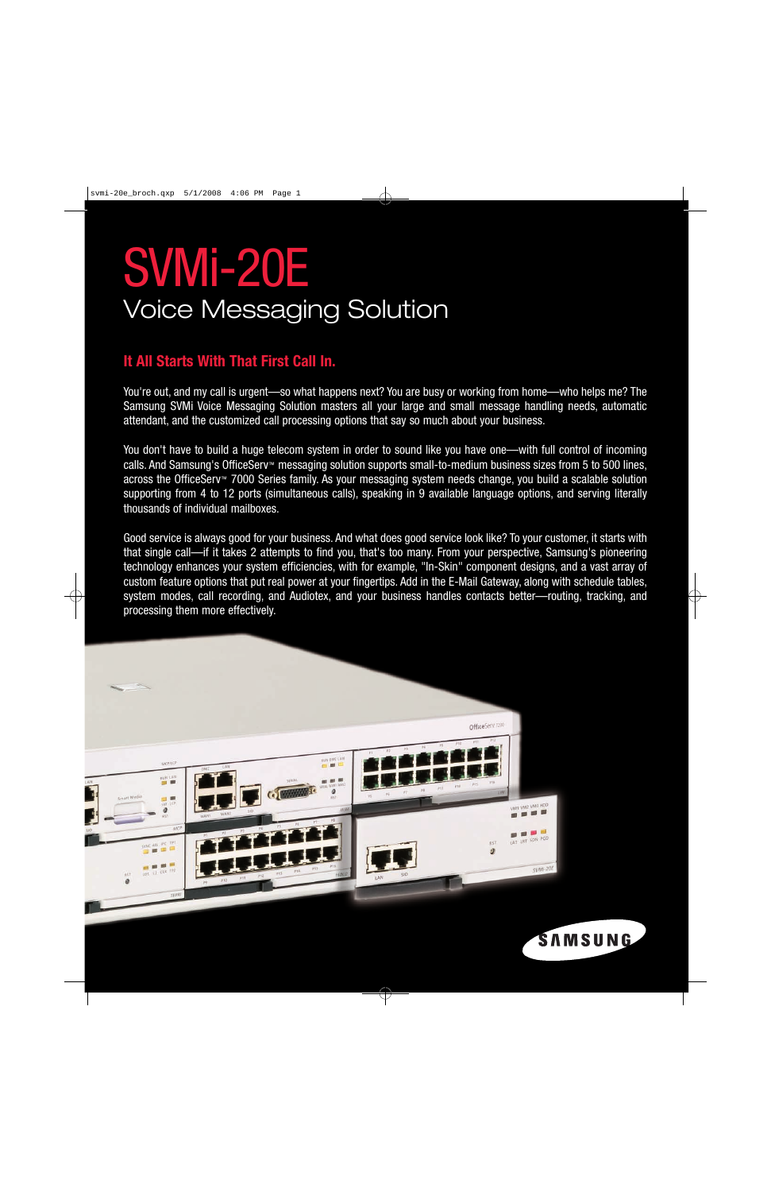# SVMi-20E Voice Messaging Solution

# **It All Starts With That First Call In.**

You're out, and my call is urgent—so what happens next? You are busy or working from home—who helps me? The Samsung SVMi Voice Messaging Solution masters all your large and small message handling needs, automatic attendant, and the customized call processing options that say so much about your business.

You don't have to build a huge telecom system in order to sound like you have one—with full control of incoming calls. And Samsung's OfficeServ<sup>™</sup> messaging solution supports small-to-medium business sizes from 5 to 500 lines, across the OfficeServ™ 7000 Series family. As your messaging system needs change, you build a scalable solution supporting from 4 to 12 ports (simultaneous calls), speaking in 9 available language options, and serving literally thousands of individual mailboxes.

Good service is always good for your business. And what does good service look like? To your customer, it starts with that single call—if it takes 2 attempts to find you, that's too many. From your perspective, Samsung's pioneering technology enhances your system efficiencies, with for example, "In-Skin" component designs, and a vast array of custom feature options that put real power at your fingertips. Add in the E-Mail Gateway, along with schedule tables, system modes, call recording, and Audiotex, and your business handles contacts better—routing, tracking, and processing them more effectively.